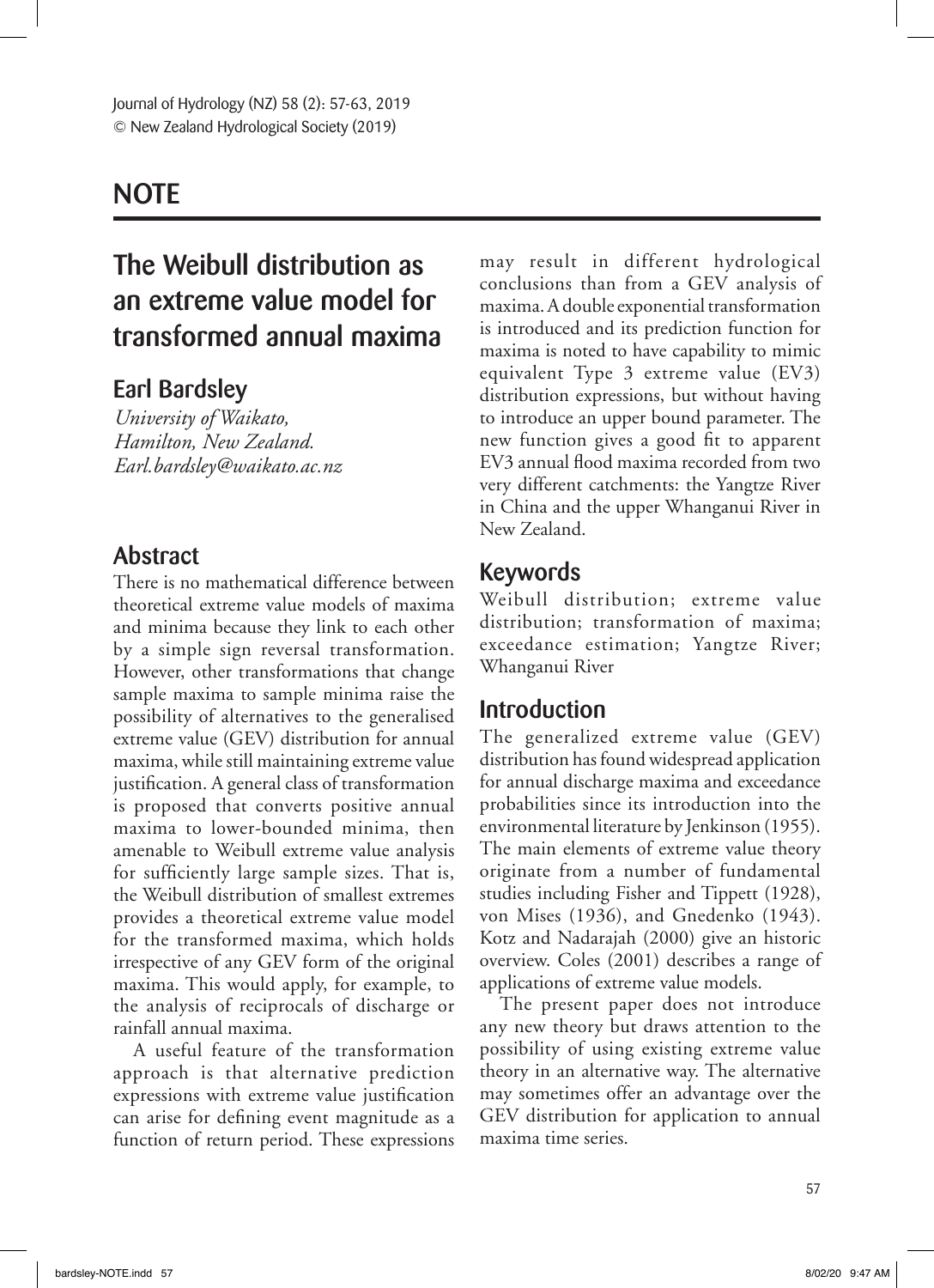## **NOTE**

# The Weibull distribution as an extreme value model for transformed annual maxima

### Earl Bardsley

*University of Waikato, Hamilton, New Zealand. Earl.bardsley@waikato.ac.nz*

### Abstract

There is no mathematical difference between theoretical extreme value models of maxima and minima because they link to each other by a simple sign reversal transformation. However, other transformations that change sample maxima to sample minima raise the possibility of alternatives to the generalised extreme value (GEV) distribution for annual maxima, while still maintaining extreme value justification. A general class of transformation is proposed that converts positive annual maxima to lower-bounded minima, then amenable to Weibull extreme value analysis for sufficiently large sample sizes. That is, the Weibull distribution of smallest extremes provides a theoretical extreme value model for the transformed maxima, which holds irrespective of any GEV form of the original maxima. This would apply, for example, to the analysis of reciprocals of discharge or rainfall annual maxima.

A useful feature of the transformation approach is that alternative prediction expressions with extreme value justification can arise for defining event magnitude as a function of return period. These expressions may result in different hydrological conclusions than from a GEV analysis of maxima. A double exponential transformation is introduced and its prediction function for maxima is noted to have capability to mimic equivalent Type 3 extreme value (EV3) distribution expressions, but without having to introduce an upper bound parameter. The new function gives a good fit to apparent EV3 annual flood maxima recorded from two very different catchments: the Yangtze River in China and the upper Whanganui River in New Zealand.

### Keywords

Weibull distribution; extreme value distribution; transformation of maxima; exceedance estimation; Yangtze River; Whanganui River

### Introduction

The generalized extreme value (GEV) distribution has found widespread application for annual discharge maxima and exceedance probabilities since its introduction into the environmental literature by Jenkinson (1955). The main elements of extreme value theory originate from a number of fundamental studies including Fisher and Tippett (1928), von Mises (1936), and Gnedenko (1943). Kotz and Nadarajah (2000) give an historic overview. Coles (2001) describes a range of applications of extreme value models.

The present paper does not introduce any new theory but draws attention to the possibility of using existing extreme value theory in an alternative way. The alternative may sometimes offer an advantage over the GEV distribution for application to annual maxima time series.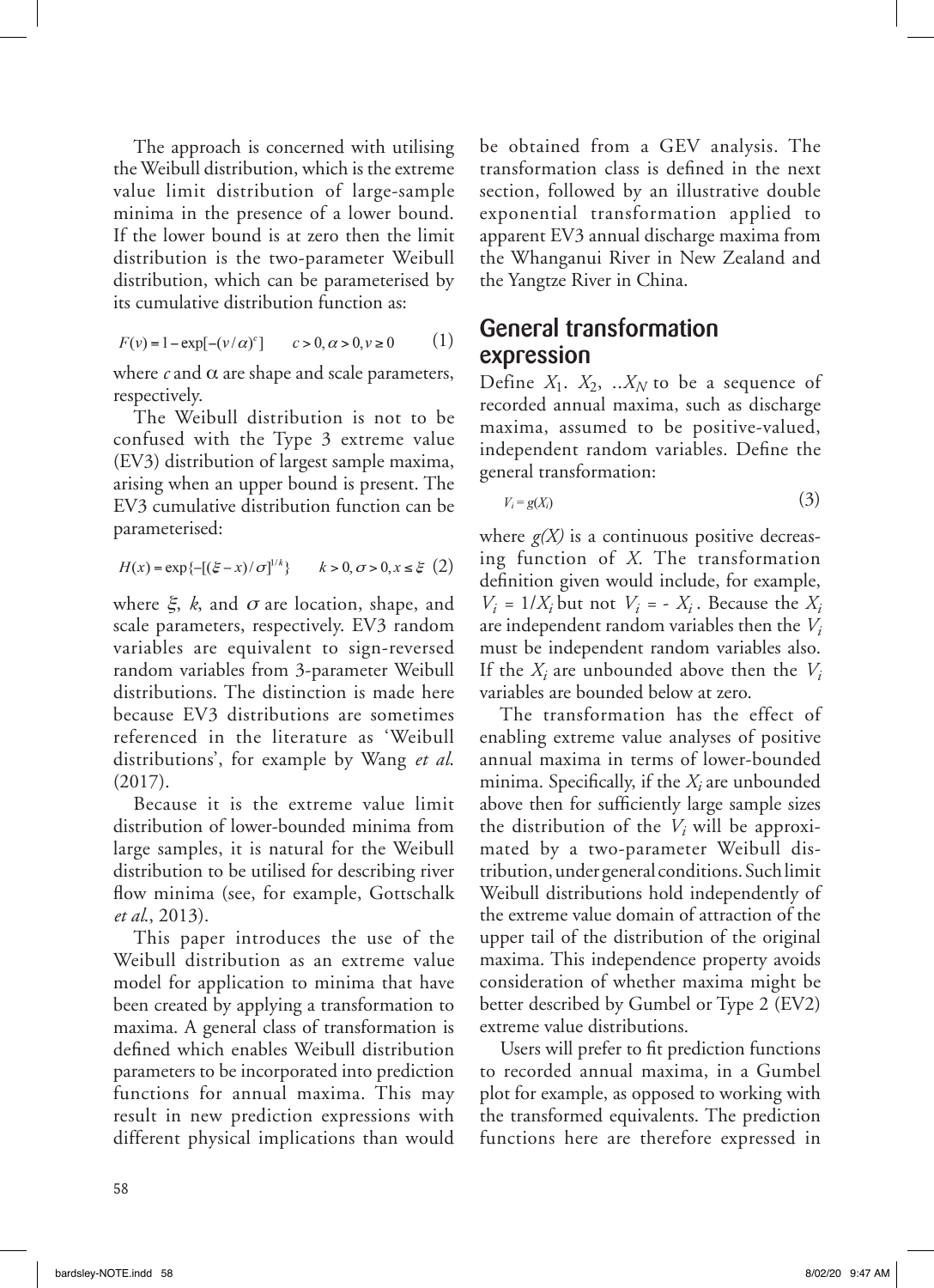The approach is concerned with utilising the Weibull distribution, which is the extreme value limit distribution of large-sample minima in the presence of a lower bound. If the lower bound is at zero then the limit distribution is the two-parameter Weibull distribution, which can be parameterised by its cumulative distribution function as:

$$
F(v) = 1 - \exp[-(v/\alpha)^c] \qquad c > 0, \alpha > 0, v \ge 0 \tag{1}
$$

where  $c$  and  $\alpha$  are shape and scale parameters, respectively.

The Weibull distribution is not to be confused with the Type 3 extreme value (EV3) distribution of largest sample maxima, arising when an upper bound is present. The EV3 cumulative distribution function can be parameterised:

$$
H(x) = \exp\{-[(\xi - x)/\sigma]^{1/k}\} \qquad k > 0, \sigma > 0, x \le \xi \tag{2}
$$

where  $\xi$ , *k*, and  $\sigma$  are location, shape, and scale parameters, respectively. EV3 random variables are equivalent to sign-reversed random variables from 3-parameter Weibull distributions. The distinction is made here because EV3 distributions are sometimes referenced in the literature as 'Weibull distributions', for example by Wang *et al*. (2017).

Because it is the extreme value limit distribution of lower-bounded minima from large samples, it is natural for the Weibull distribution to be utilised for describing river flow minima (see, for example, Gottschalk *et al*., 2013).

This paper introduces the use of the Weibull distribution as an extreme value model for application to minima that have been created by applying a transformation to maxima. A general class of transformation is defined which enables Weibull distribution parameters to be incorporated into prediction functions for annual maxima. This may result in new prediction expressions with different physical implications than would be obtained from a GEV analysis. The transformation class is defined in the next section, followed by an illustrative double exponential transformation applied to apparent EV3 annual discharge maxima from the Whanganui River in New Zealand and the Yangtze River in China.

### General transformation expression

Define  $X_1$ .  $X_2$ , ..X<sub>N</sub> to be a sequence of recorded annual maxima, such as discharge maxima, assumed to be positive-valued, independent random variables. Define the general transformation:

$$
V_i = g(X_i) \tag{3}
$$

where  $g(X)$  is a continuous positive decreasing function of *X*. The transformation definition given would include, for example,  $V_i = 1/X_i$  but not  $V_i = -X_i$ . Because the  $X_i$ are independent random variables then the *Vi* must be independent random variables also. If the *Xi* are unbounded above then the *Vi* variables are bounded below at zero.

The transformation has the effect of enabling extreme value analyses of positive annual maxima in terms of lower-bounded minima. Specifically, if the *Xi* are unbounded above then for sufficiently large sample sizes the distribution of the  $V_i$  will be approximated by a two-parameter Weibull distribution, under general conditions. Such limit Weibull distributions hold independently of the extreme value domain of attraction of the upper tail of the distribution of the original maxima. This independence property avoids consideration of whether maxima might be better described by Gumbel or Type 2 (EV2) extreme value distributions.

Users will prefer to fit prediction functions to recorded annual maxima, in a Gumbel plot for example, as opposed to working with the transformed equivalents. The prediction functions here are therefore expressed in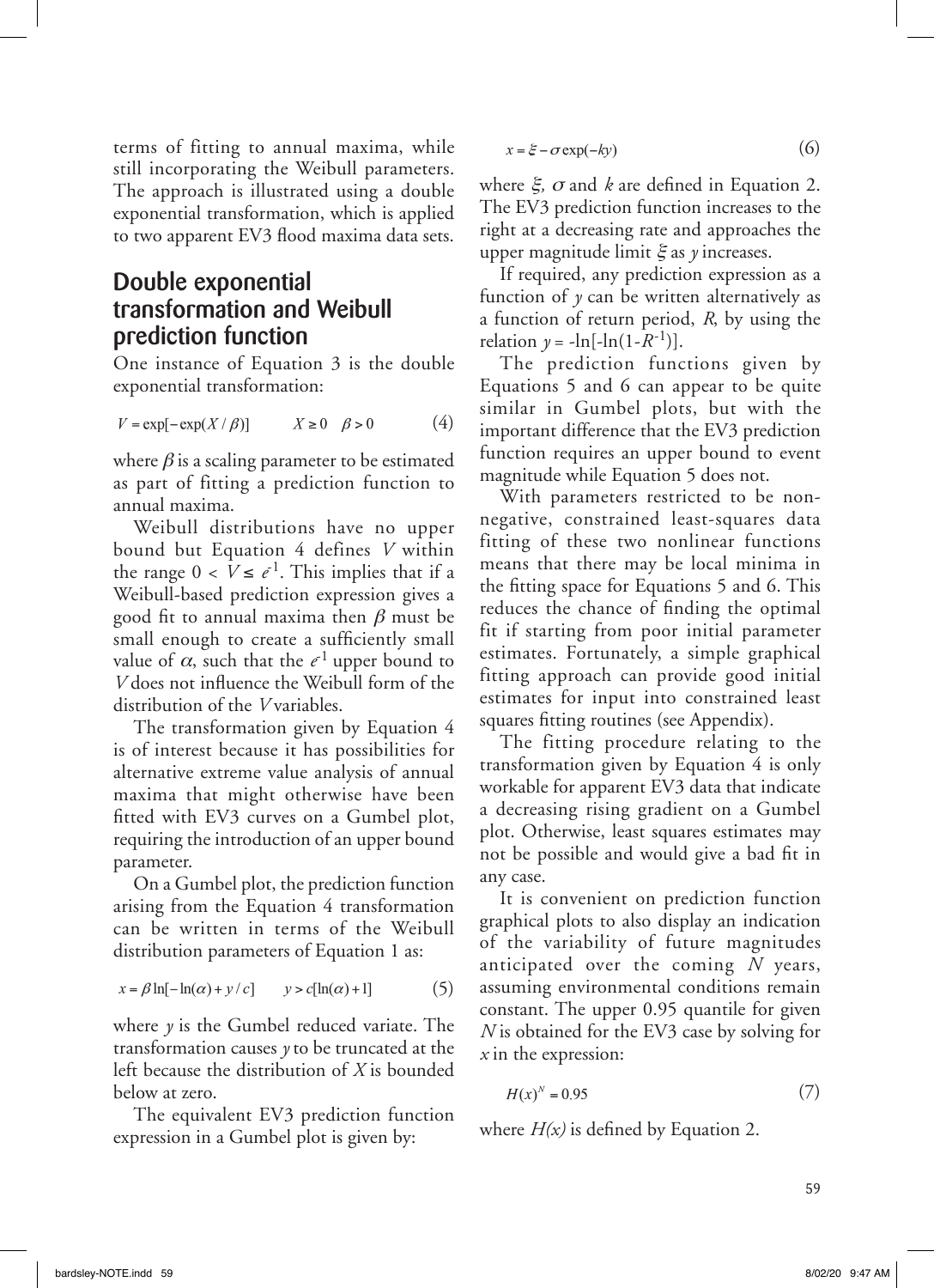terms of fitting to annual maxima, while still incorporating the Weibull parameters. The approach is illustrated using a double exponential transformation, which is applied to two apparent EV3 flood maxima data sets.

### Double exponential transformation and Weibull prediction function

One instance of Equation 3 is the double exponential transformation:

$$
V = \exp[-\exp(X/\beta)] \qquad X \ge 0 \quad \beta > 0 \tag{4}
$$

where  $\beta$  is a scaling parameter to be estimated as part of fitting a prediction function to annual maxima.

Weibull distributions have no upper bound but Equation 4 defines *V* within the range  $0 < V \le e^{-1}$ . This implies that if a Weibull-based prediction expression gives a good fit to annual maxima then  $\beta$  must be small enough to create a sufficiently small value of  $\alpha$ , such that the  $e^{-1}$  upper bound to *V* does not influence the Weibull form of the distribution of the *V* variables.

The transformation given by Equation 4 is of interest because it has possibilities for alternative extreme value analysis of annual maxima that might otherwise have been fitted with EV3 curves on a Gumbel plot, requiring the introduction of an upper bound parameter.

On a Gumbel plot, the prediction function arising from the Equation 4 transformation can be written in terms of the Weibull distribution parameters of Equation 1 as:

$$
x = \beta \ln[-\ln(\alpha) + y/c] \qquad y > c[\ln(\alpha) + 1] \tag{5}
$$

where *y* is the Gumbel reduced variate. The transformation causes *y* to be truncated at the left because the distribution of *X* is bounded below at zero.

The equivalent EV3 prediction function expression in a Gumbel plot is given by:

$$
x = \xi - \sigma \exp(-ky) \tag{6}
$$

where  $\xi$ ,  $\sigma$  and  $k$  are defined in Equation 2. The EV3 prediction function increases to the right at a decreasing rate and approaches the upper magnitude limit  $\xi$  as  $\gamma$  increases.

If required, any prediction expression as a function of  $\gamma$  can be written alternatively as a function of return period, *R*, by using the relation  $y = -\ln[-\ln(1 - R^{-1})]$ .

The prediction functions given by Equations 5 and 6 can appear to be quite similar in Gumbel plots, but with the important difference that the EV3 prediction function requires an upper bound to event magnitude while Equation 5 does not.

With parameters restricted to be nonnegative, constrained least-squares data fitting of these two nonlinear functions means that there may be local minima in the fitting space for Equations 5 and 6. This reduces the chance of finding the optimal fit if starting from poor initial parameter estimates. Fortunately, a simple graphical fitting approach can provide good initial estimates for input into constrained least squares fitting routines (see Appendix).

The fitting procedure relating to the transformation given by Equation 4 is only workable for apparent EV3 data that indicate a decreasing rising gradient on a Gumbel plot. Otherwise, least squares estimates may not be possible and would give a bad fit in any case.

It is convenient on prediction function graphical plots to also display an indication of the variability of future magnitudes anticipated over the coming *N* years, assuming environmental conditions remain constant. The upper 0.95 quantile for given *N* is obtained for the EV3 case by solving for *x* in the expression:

$$
H(x)^N = 0.95\tag{7}
$$

where *H(x)* is defined by Equation 2.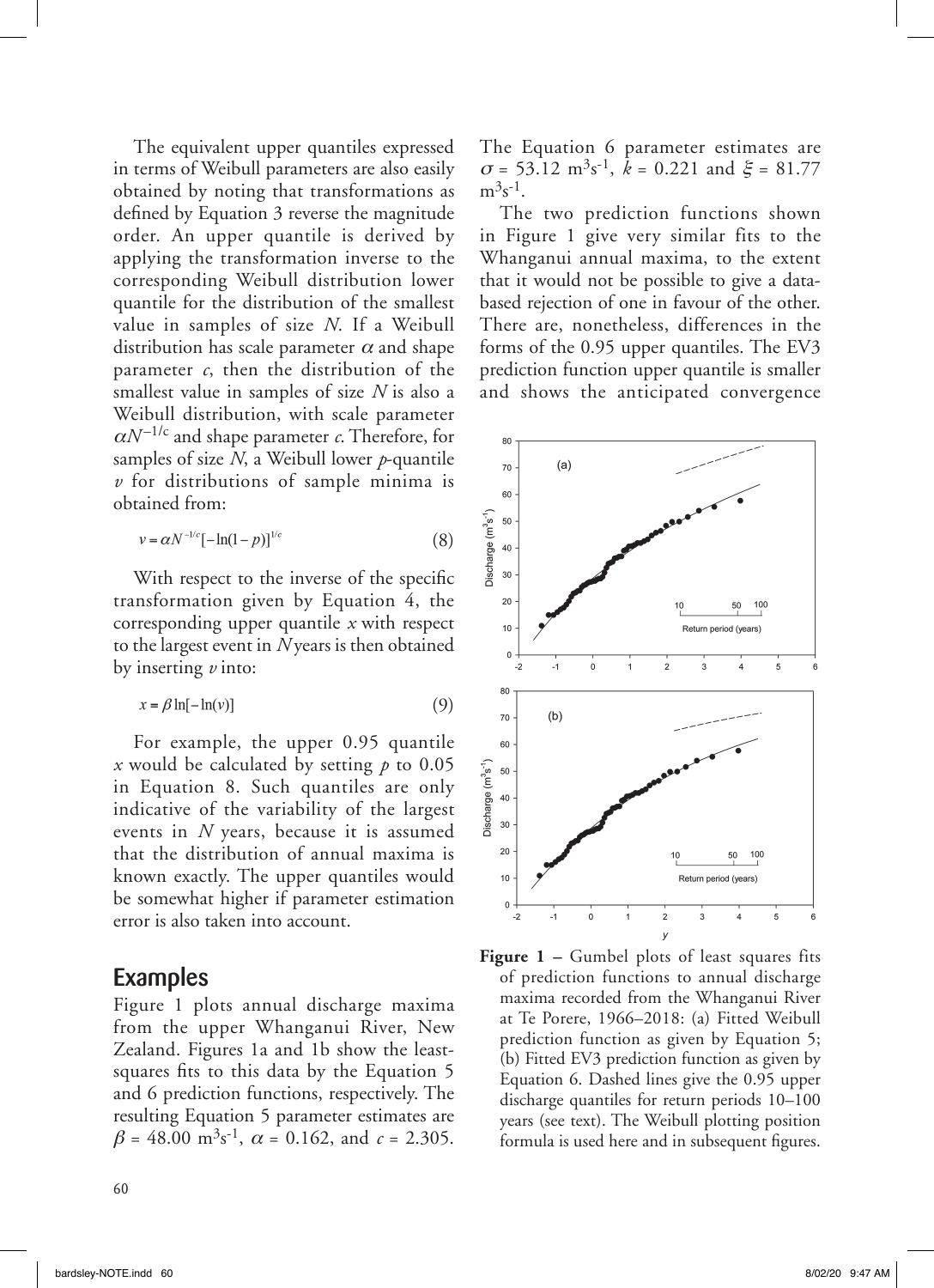The equivalent upper quantiles expressed in terms of Weibull parameters are also easily obtained by noting that transformations as defined by Equation 3 reverse the magnitude order. An upper quantile is derived by applying the transformation inverse to the corresponding Weibull distribution lower quantile for the distribution of the smallest value in samples of size *N*. If a Weibull distribution has scale parameter  $\alpha$  and shape parameter *c*, then the distribution of the smallest value in samples of size *N* is also a Weibull distribution, with scale parameter  $\alpha N^{-1/c}$  and shape parameter *c*. Therefore, for samples of size *N*, a Weibull lower *p*-quantile *v* for distributions of sample minima is obtained from:

$$
v = \alpha N^{-1/c} \left[ -\ln(1-p) \right]^{1/c} \tag{8}
$$

With respect to the inverse of the specific transformation given by Equation 4, the corresponding upper quantile *x* with respect to the largest event in *N* years is then obtained by inserting *v* into:

$$
x = \beta \ln[-\ln(v)] \tag{9}
$$

For example, the upper 0.95 quantile *x* would be calculated by setting *p* to 0.05 in Equation 8. Such quantiles are only indicative of the variability of the largest events in *N* years, because it is assumed that the distribution of annual maxima is known exactly. The upper quantiles would be somewhat higher if parameter estimation error is also taken into account.

#### Examples

Figure 1 plots annual discharge maxima from the upper Whanganui River, New Zealand. Figures 1a and 1b show the leastsquares fits to this data by the Equation 5 and 6 prediction functions, respectively. The resulting Equation 5 parameter estimates are  $\beta = 48.00 \text{ m}^3\text{s}^{-1}$ ,  $\alpha = 0.162$ , and  $c = 2.305$ .

60

The Equation 6 parameter estimates are  $\sigma = 53.12 \text{ m}^3\text{s}^{-1}$ ,  $k = 0.221$  and  $\mathcal{E} = 81.77$  $m^3s^{-1}$ .

The two prediction functions shown in Figure 1 give very similar fits to the Whanganui annual maxima, to the extent that it would not be possible to give a databased rejection of one in favour of the other. There are, nonetheless, differences in the forms of the 0.95 upper quantiles. The EV3 prediction function upper quantile is smaller and shows the anticipated convergence



**Figure 1 –** Gumbel plots of least squares fits of prediction functions to annual discharge maxima recorded from the Whanganui River at Te Porere, 1966–2018: (a) Fitted Weibull prediction function as given by Equation 5; (b) Fitted EV3 prediction function as given by Equation 6. Dashed lines give the 0.95 upper discharge quantiles for return periods 10–100 years (see text). The Weibull plotting position formula is used here and in subsequent figures.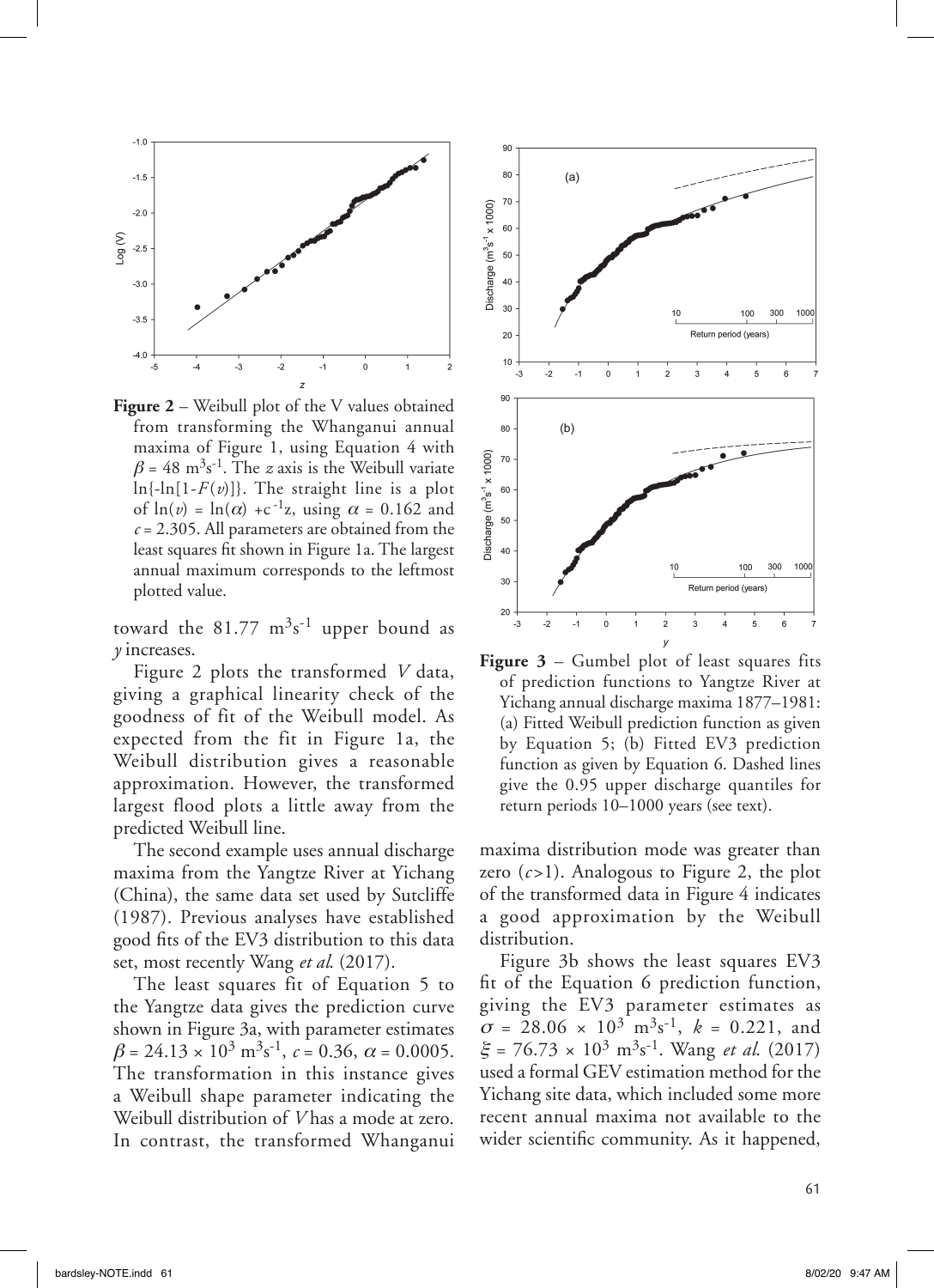

**Figure 2** – Weibull plot of the V values obtained from transforming the Whanganui annual maxima of Figure 1, using Equation 4 with  $\beta = 48 \text{ m}^3 \text{s}^{-1}$ . The *z* axis is the Weibull variate  $\ln\{-\ln[1-F(v)]\}$ . The straight line is a plot of  $ln(v) = ln(\alpha) + c^{-1}z$ , using  $\alpha = 0.162$  and  $c = 2.305$ . All parameters are obtained from the least squares fit shown in Figure 1a. The largest annual maximum corresponds to the leftmost plotted value.

toward the  $81.77 \text{ m}^3\text{s}^{-1}$  upper bound as *y* increases.

Figure 2 plots the transformed *V* data, giving a graphical linearity check of the goodness of fit of the Weibull model. As expected from the fit in Figure 1a, the Weibull distribution gives a reasonable approximation. However, the transformed largest flood plots a little away from the predicted Weibull line.

The second example uses annual discharge maxima from the Yangtze River at Yichang (China), the same data set used by Sutcliffe (1987). Previous analyses have established good fits of the EV3 distribution to this data set, most recently Wang *et al*. (2017).

The least squares fit of Equation 5 to the Yangtze data gives the prediction curve shown in Figure 3a, with parameter estimates  $\beta = 24.13 \times 10^3 \text{ m}^3 \text{s}^{-1}, c = 0.36, \alpha = 0.0005.$ The transformation in this instance gives a Weibull shape parameter indicating the Weibull distribution of *V* has a mode at zero. In contrast, the transformed Whanganui



**Figure 3** – Gumbel plot of least squares fits of prediction functions to Yangtze River at Yichang annual discharge maxima 1877–1981: (a) Fitted Weibull prediction function as given by Equation 5; (b) Fitted EV3 prediction function as given by Equation 6. Dashed lines give the 0.95 upper discharge quantiles for return periods 10–1000 years (see text).

maxima distribution mode was greater than zero  $(c>1)$ . Analogous to Figure 2, the plot of the transformed data in Figure 4 indicates a good approximation by the Weibull distribution.

Figure 3b shows the least squares EV3 fit of the Equation 6 prediction function, giving the EV3 parameter estimates as  $\sigma = 28.06 \times 10^3 \text{ m}^3 \text{s}^{-1}$ ,  $k = 0.221$ , and  $\mathcal{E} = 76.73 \times 10^3 \text{ m}^3 \text{s}^{-1}$ . Wang *et al.* (2017) used a formal GEV estimation method for the Yichang site data, which included some more recent annual maxima not available to the wider scientific community. As it happened,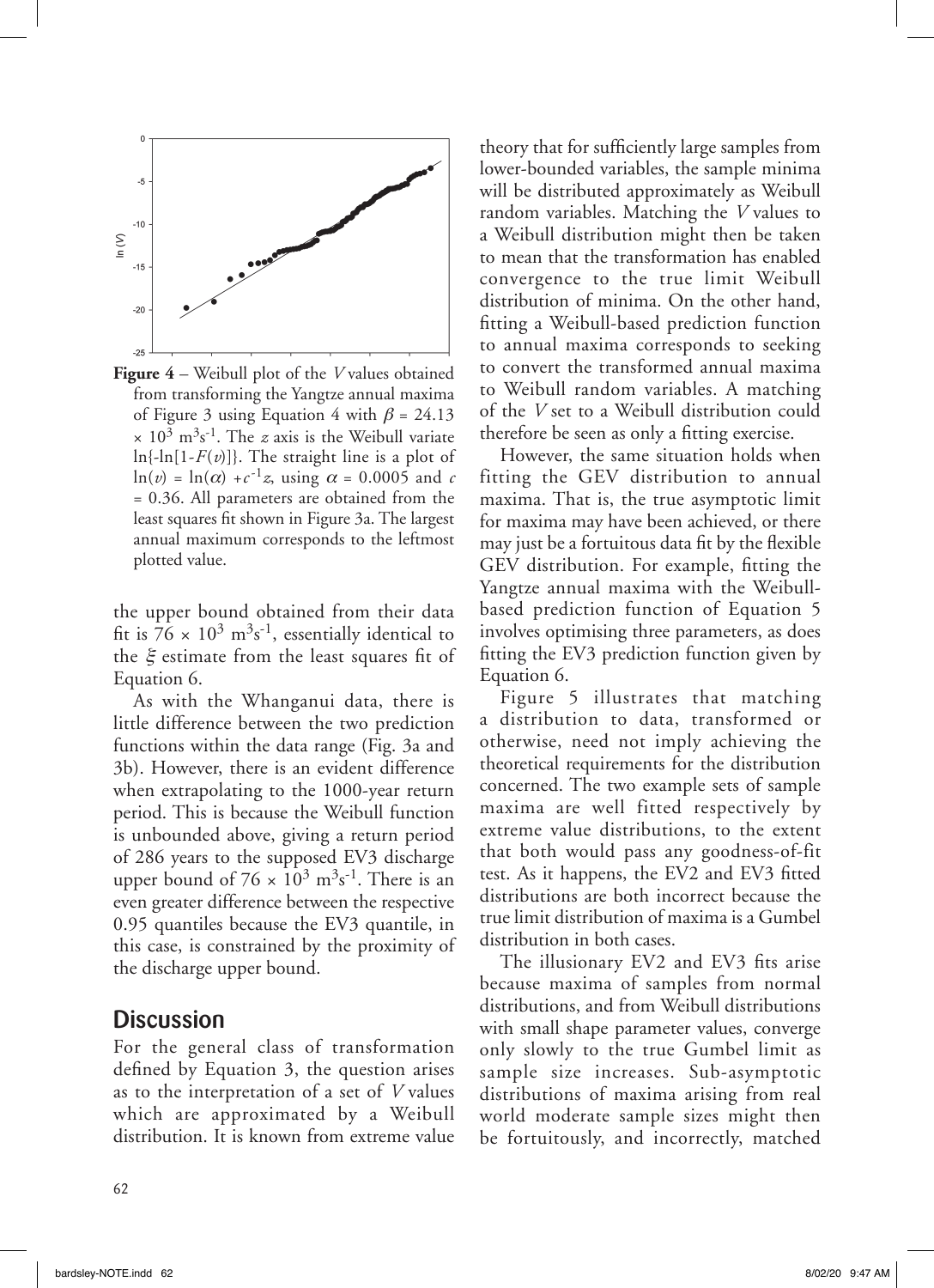

**Figure 4** – Weibull plot of the *V* values obtained from transforming the Yangtze annual maxima of Figure 3 using Equation 4 with  $\beta = 24.13$  $\times$  10<sup>3</sup> m<sup>3</sup>s<sup>-1</sup>. The *z* axis is the Weibull variate  $\ln{\{-\ln[1-F(v)]\}}$ . The straight line is a plot of  $ln(v) = ln(\alpha) + c^{-1}z$ , using  $\alpha = 0.0005$  and *c* = 0.36. All parameters are obtained from the least squares fit shown in Figure 3a. The largest annual maximum corresponds to the leftmost plotted value.

the upper bound obtained from their data fit is  $76 \times 10^3 \text{ m}^3 \text{s}^{-1}$ , essentially identical to the  $\xi$  estimate from the least squares fit of Equation 6.

As with the Whanganui data, there is little difference between the two prediction functions within the data range (Fig. 3a and 3b). However, there is an evident difference when extrapolating to the 1000-year return period. This is because the Weibull function is unbounded above, giving a return period of 286 years to the supposed EV3 discharge upper bound of  $76 \times 10^3$  m<sup>3</sup>s<sup>-1</sup>. There is an even greater difference between the respective 0.95 quantiles because the EV3 quantile, in this case, is constrained by the proximity of the discharge upper bound.

#### **Discussion**

For the general class of transformation defined by Equation 3, the question arises as to the interpretation of a set of *V* values which are approximated by a Weibull distribution. It is known from extreme value theory that for sufficiently large samples from lower-bounded variables, the sample minima will be distributed approximately as Weibull random variables. Matching the *V* values to a Weibull distribution might then be taken to mean that the transformation has enabled convergence to the true limit Weibull distribution of minima. On the other hand, fitting a Weibull-based prediction function to annual maxima corresponds to seeking to convert the transformed annual maxima to Weibull random variables. A matching of the *V* set to a Weibull distribution could therefore be seen as only a fitting exercise.

However, the same situation holds when fitting the GEV distribution to annual maxima. That is, the true asymptotic limit for maxima may have been achieved, or there may just be a fortuitous data fit by the flexible GEV distribution. For example, fitting the Yangtze annual maxima with the Weibullbased prediction function of Equation 5 involves optimising three parameters, as does fitting the EV3 prediction function given by Equation 6.

Figure 5 illustrates that matching a distribution to data, transformed or otherwise, need not imply achieving the theoretical requirements for the distribution concerned. The two example sets of sample maxima are well fitted respectively by extreme value distributions, to the extent that both would pass any goodness-of-fit test. As it happens, the EV2 and EV3 fitted distributions are both incorrect because the true limit distribution of maxima is a Gumbel distribution in both cases.

The illusionary EV2 and EV3 fits arise because maxima of samples from normal distributions, and from Weibull distributions with small shape parameter values, converge only slowly to the true Gumbel limit as sample size increases. Sub-asymptotic distributions of maxima arising from real world moderate sample sizes might then be fortuitously, and incorrectly, matched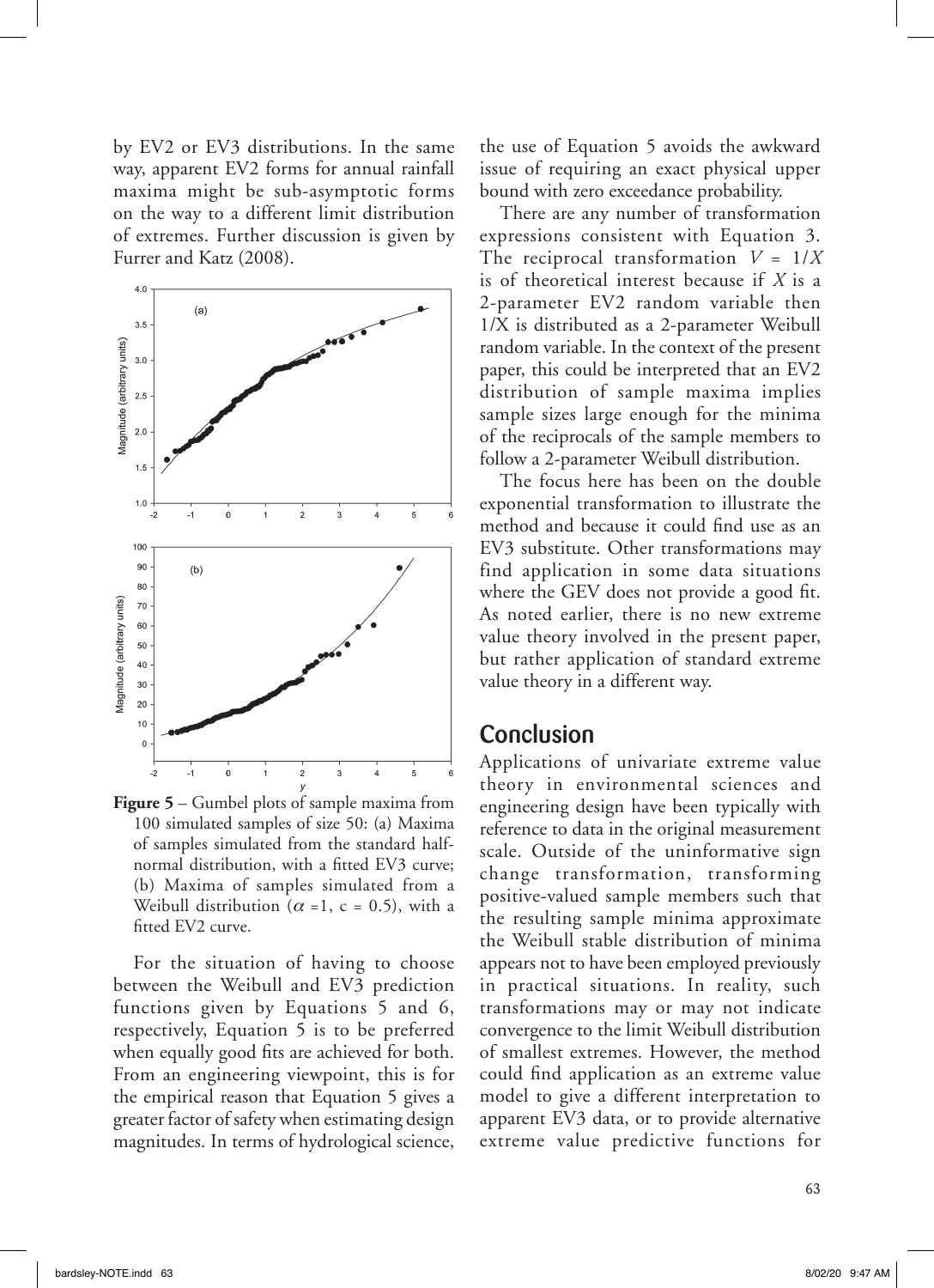by EV2 or EV3 distributions. In the same way, apparent EV2 forms for annual rainfall maxima might be sub-asymptotic forms on the way to a different limit distribution of extremes. Further discussion is given by Furrer and Katz (2008).



**Figure 5** – Gumbel plots of sample maxima from 100 simulated samples of size 50: (a) Maxima of samples simulated from the standard halfnormal distribution, with a fitted EV3 curve; (b) Maxima of samples simulated from a Weibull distribution ( $\alpha$  =1, c = 0.5), with a fitted EV2 curve.

For the situation of having to choose between the Weibull and EV3 prediction functions given by Equations 5 and 6, respectively, Equation 5 is to be preferred when equally good fits are achieved for both. From an engineering viewpoint, this is for the empirical reason that Equation 5 gives a greater factor of safety when estimating design magnitudes. In terms of hydrological science,

the use of Equation 5 avoids the awkward issue of requiring an exact physical upper bound with zero exceedance probability.

There are any number of transformation expressions consistent with Equation 3. The reciprocal transformation  $V = 1/X$ is of theoretical interest because if *X* is a 2-parameter EV2 random variable then 1/X is distributed as a 2-parameter Weibull random variable. In the context of the present paper, this could be interpreted that an EV2 distribution of sample maxima implies sample sizes large enough for the minima of the reciprocals of the sample members to follow a 2-parameter Weibull distribution.

The focus here has been on the double exponential transformation to illustrate the method and because it could find use as an EV3 substitute. Other transformations may find application in some data situations where the GEV does not provide a good fit. As noted earlier, there is no new extreme value theory involved in the present paper, but rather application of standard extreme value theory in a different way.

#### Conclusion

Applications of univariate extreme value theory in environmental sciences and engineering design have been typically with reference to data in the original measurement scale. Outside of the uninformative sign change transformation, transforming positive-valued sample members such that the resulting sample minima approximate the Weibull stable distribution of minima appears not to have been employed previously in practical situations. In reality, such transformations may or may not indicate convergence to the limit Weibull distribution of smallest extremes. However, the method could find application as an extreme value model to give a different interpretation to apparent EV3 data, or to provide alternative extreme value predictive functions for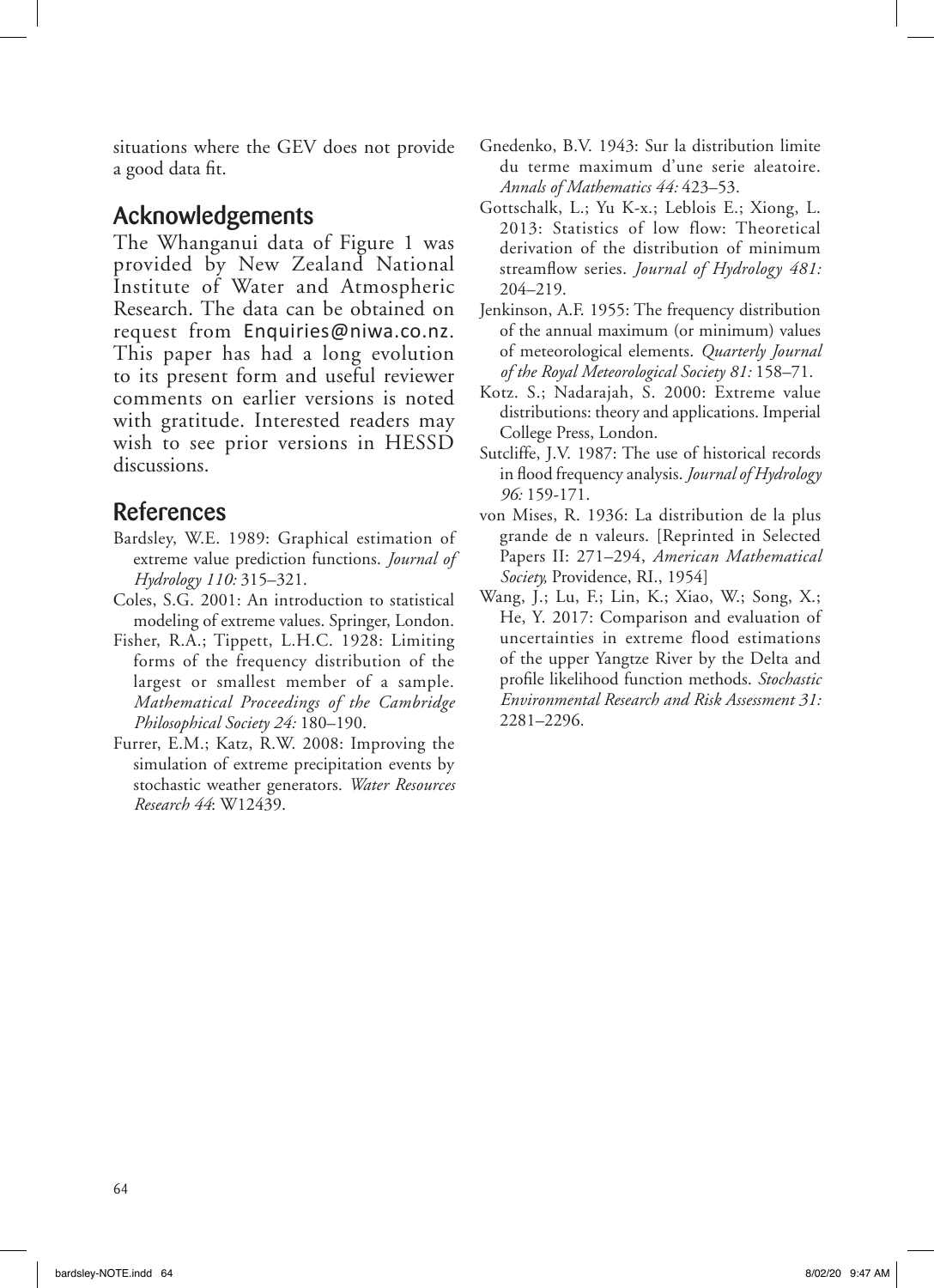situations where the GEV does not provide a good data fit.

#### Acknowledgements

The Whanganui data of Figure 1 was provided by New Zealand National Institute of Water and Atmospheric Research. The data can be obtained on request from Enquiries@niwa.co.nz. This paper has had a long evolution to its present form and useful reviewer comments on earlier versions is noted with gratitude. Interested readers may wish to see prior versions in HESSD discussions.

### References

- Bardsley, W.E. 1989: Graphical estimation of extreme value prediction functions. *Journal of Hydrology 110:* 315–321.
- Coles, S.G. 2001: An introduction to statistical modeling of extreme values. Springer, London.
- Fisher, R.A.; Tippett, L.H.C. 1928: Limiting forms of the frequency distribution of the largest or smallest member of a sample. *Mathematical Proceedings of the Cambridge Philosophical Society 24:* 180–190.
- Furrer, E.M.; Katz, R.W. 2008: Improving the simulation of extreme precipitation events by stochastic weather generators. *Water Resources Research 44*: W12439.
- Gnedenko, B.V. 1943: Sur la distribution limite du terme maximum d'une serie aleatoire. *Annals of Mathematics 44:* 423–53.
- Gottschalk, L.; Yu K-x.; Leblois E.; Xiong, L. 2013: Statistics of low flow: Theoretical derivation of the distribution of minimum streamflow series. *Journal of Hydrology 481:* 204–219.
- Jenkinson, A.F. 1955: The frequency distribution of the annual maximum (or minimum) values of meteorological elements. *Quarterly Journal of the Royal Meteorological Society 81:* 158–71.
- Kotz. S.; Nadarajah, S. 2000: Extreme value distributions: theory and applications. Imperial College Press, London.
- Sutcliffe, J.V. 1987: The use of historical records in flood frequency analysis. *Journal of Hydrology 96:* 159-171.
- von Mises, R. 1936: La distribution de la plus grande de n valeurs. [Reprinted in Selected Papers II: 271–294, *American Mathematical Society,* Providence, RI., 1954]
- Wang, J.; Lu, F.; Lin, K.; Xiao, W.; Song, X.; He, Y. 2017: Comparison and evaluation of uncertainties in extreme flood estimations of the upper Yangtze River by the Delta and profile likelihood function methods. *Stochastic Environmental Research and Risk Assessment 31:* 2281–2296.